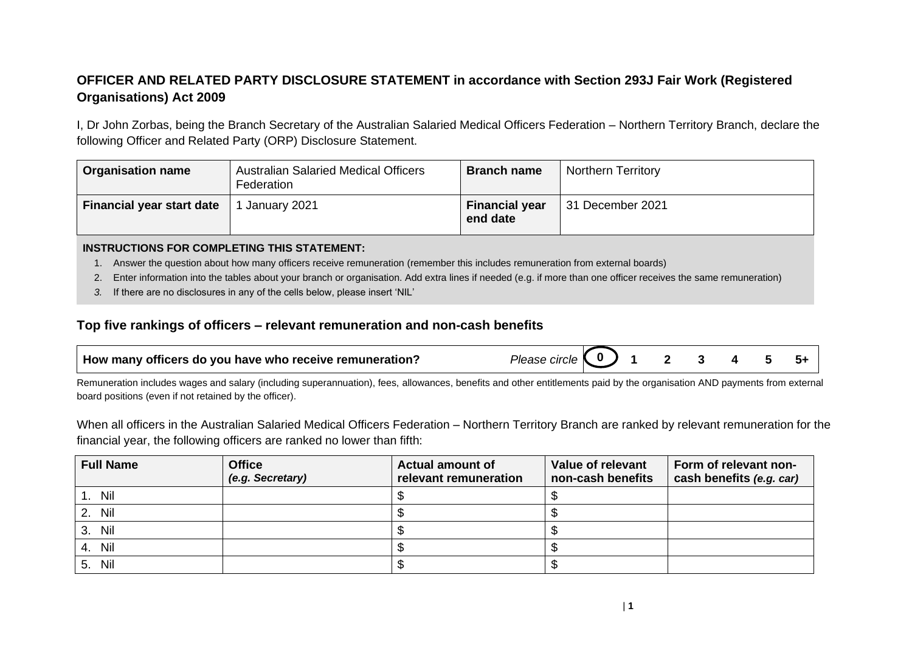## **OFFICER AND RELATED PARTY DISCLOSURE STATEMENT in accordance with Section 293J Fair Work (Registered Organisations) Act 2009**

I, Dr John Zorbas, being the Branch Secretary of the Australian Salaried Medical Officers Federation – Northern Territory Branch, declare the following Officer and Related Party (ORP) Disclosure Statement.

| <b>Organisation name</b>         | <b>Australian Salaried Medical Officers</b><br>Federation | <b>Branch name</b>                | <b>Northern Territory</b> |
|----------------------------------|-----------------------------------------------------------|-----------------------------------|---------------------------|
| <b>Financial year start date</b> | January 2021                                              | <b>Financial year</b><br>end date | 31 December 2021          |

#### **INSTRUCTIONS FOR COMPLETING THIS STATEMENT:**

- 1. Answer the question about how many officers receive remuneration (remember this includes remuneration from external boards)
- 2. Enter information into the tables about your branch or organisation. Add extra lines if needed (e.g. if more than one officer receives the same remuneration)
- *3.* If there are no disclosures in any of the cells below, please insert 'NIL'

### **Top five rankings of officers – relevant remuneration and non-cash benefits**

| How many officers do you have who receive remuneration? | Please circle $\begin{pmatrix} 0 \end{pmatrix}$ 1 |  |  |  |  |  |
|---------------------------------------------------------|---------------------------------------------------|--|--|--|--|--|
|---------------------------------------------------------|---------------------------------------------------|--|--|--|--|--|

Remuneration includes wages and salary (including superannuation), fees, allowances, benefits and other entitlements paid by the organisation AND payments from external board positions (even if not retained by the officer).

When all officers in the Australian Salaried Medical Officers Federation – Northern Territory Branch are ranked by relevant remuneration for the financial year, the following officers are ranked no lower than fifth:

| <b>Full Name</b> | <b>Office</b><br>(e.g. Secretary) | <b>Actual amount of</b><br>relevant remuneration | Value of relevant<br>non-cash benefits | Form of relevant non-<br>cash benefits (e.g. car) |
|------------------|-----------------------------------|--------------------------------------------------|----------------------------------------|---------------------------------------------------|
| Nil              |                                   |                                                  |                                        |                                                   |
| 2. Nil           |                                   |                                                  |                                        |                                                   |
| Nil<br>3.        |                                   |                                                  |                                        |                                                   |
| 4. Nil           |                                   |                                                  |                                        |                                                   |
| 5. Nil           |                                   |                                                  |                                        |                                                   |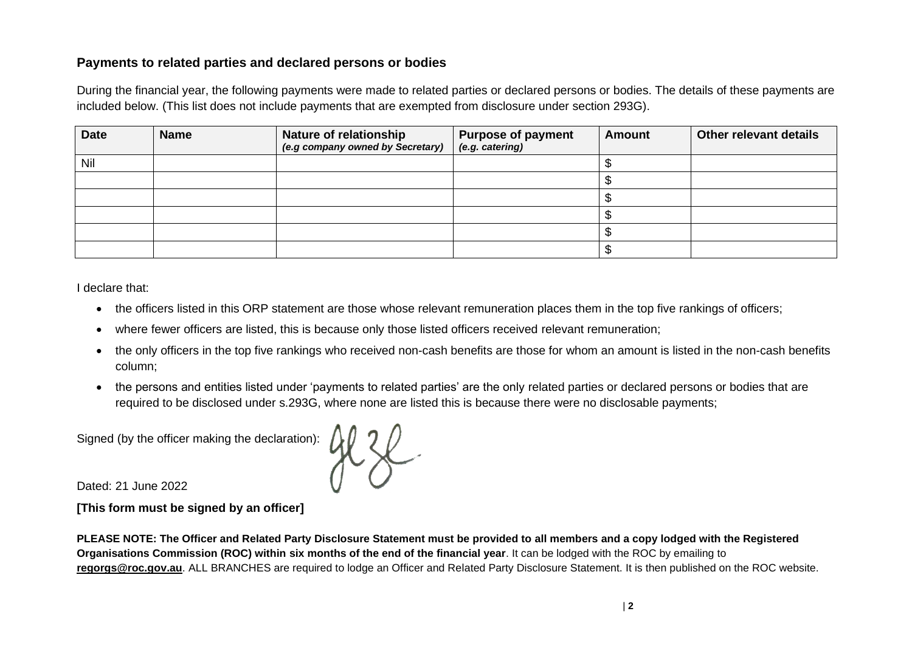### **Payments to related parties and declared persons or bodies**

During the financial year, the following payments were made to related parties or declared persons or bodies. The details of these payments are included below. (This list does not include payments that are exempted from disclosure under section 293G).

| <b>Date</b> | <b>Name</b> | <b>Nature of relationship</b><br>(e.g company owned by Secretary) | <b>Purpose of payment</b><br>(e.g. catering) | <b>Amount</b> | <b>Other relevant details</b> |
|-------------|-------------|-------------------------------------------------------------------|----------------------------------------------|---------------|-------------------------------|
| Nil         |             |                                                                   |                                              |               |                               |
|             |             |                                                                   |                                              |               |                               |
|             |             |                                                                   |                                              |               |                               |
|             |             |                                                                   |                                              |               |                               |
|             |             |                                                                   |                                              |               |                               |
|             |             |                                                                   |                                              |               |                               |

I declare that:

- the officers listed in this ORP statement are those whose relevant remuneration places them in the top five rankings of officers;
- where fewer officers are listed, this is because only those listed officers received relevant remuneration;
- the only officers in the top five rankings who received non-cash benefits are those for whom an amount is listed in the non-cash benefits column;
- the persons and entities listed under 'payments to related parties' are the only related parties or declared persons or bodies that are required to be disclosed under s.293G, where none are listed this is because there were no disclosable payments;

Dated: 21 June 2022

**[This form must be signed by an officer]**

Signed (by the officer making the declaration):  $\left\{\begin{matrix} 1 & 2 \\ 4 & 3 \end{matrix}\right\}$ 

**PLEASE NOTE: The Officer and Related Party Disclosure Statement must be provided to all members and a copy lodged with the Registered Organisations Commission (ROC) within six months of the end of the financial year**. It can be lodged with the ROC by emailing to **[regorgs@roc.gov.au](mailto:regorgs@roc.gov.au)**. ALL BRANCHES are required to lodge an Officer and Related Party Disclosure Statement. It is then published on the ROC website.